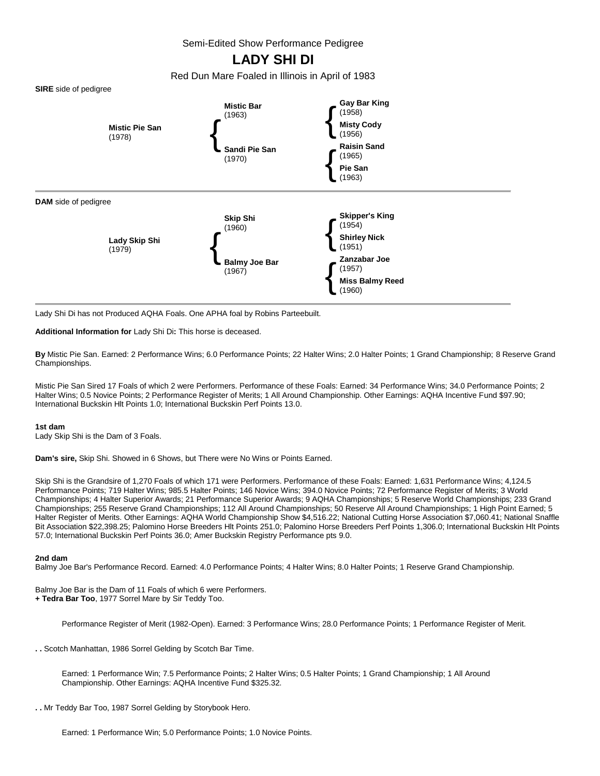Semi-Edited Show Performance Pedigree

## **LADY SHI DI**

Red Dun Mare Foaled in Illinois in April of 1983





Lady Shi Di has not Produced AQHA Foals. One APHA foal by Robins Parteebuilt.

**Additional Information for** Lady Shi Di**:** This horse is deceased.

**By** Mistic Pie San. Earned: 2 Performance Wins; 6.0 Performance Points; 22 Halter Wins; 2.0 Halter Points; 1 Grand Championship; 8 Reserve Grand Championships.

Mistic Pie San Sired 17 Foals of which 2 were Performers. Performance of these Foals: Earned: 34 Performance Wins; 34.0 Performance Points; 2 Halter Wins; 0.5 Novice Points; 2 Performance Register of Merits; 1 All Around Championship. Other Earnings: AQHA Incentive Fund \$97.90; International Buckskin Hlt Points 1.0; International Buckskin Perf Points 13.0.

## **1st dam**

Lady Skip Shi is the Dam of 3 Foals.

**Dam's sire,** Skip Shi. Showed in 6 Shows, but There were No Wins or Points Earned.

Skip Shi is the Grandsire of 1,270 Foals of which 171 were Performers. Performance of these Foals: Earned: 1,631 Performance Wins; 4,124.5 Performance Points; 719 Halter Wins; 985.5 Halter Points; 146 Novice Wins; 394.0 Novice Points; 72 Performance Register of Merits; 3 World Championships; 4 Halter Superior Awards; 21 Performance Superior Awards; 9 AQHA Championships; 5 Reserve World Championships; 233 Grand Championships; 255 Reserve Grand Championships; 112 All Around Championships; 50 Reserve All Around Championships; 1 High Point Earned; 5 Halter Register of Merits. Other Earnings: AQHA World Championship Show \$4,516.22; National Cutting Horse Association \$7,060.41; National Snaffle Bit Association \$22,398.25; Palomino Horse Breeders Hlt Points 251.0; Palomino Horse Breeders Perf Points 1,306.0; International Buckskin Hlt Points 57.0; International Buckskin Perf Points 36.0; Amer Buckskin Registry Performance pts 9.0.

## **2nd dam**

Balmy Joe Bar's Performance Record. Earned: 4.0 Performance Points; 4 Halter Wins; 8.0 Halter Points; 1 Reserve Grand Championship.

Balmy Joe Bar is the Dam of 11 Foals of which 6 were Performers. **+ Tedra Bar Too**, 1977 Sorrel Mare by Sir Teddy Too.

Performance Register of Merit (1982-Open). Earned: 3 Performance Wins; 28.0 Performance Points; 1 Performance Register of Merit.

**. .** Scotch Manhattan, 1986 Sorrel Gelding by Scotch Bar Time.

Earned: 1 Performance Win; 7.5 Performance Points; 2 Halter Wins; 0.5 Halter Points; 1 Grand Championship; 1 All Around Championship. Other Earnings: AQHA Incentive Fund \$325.32.

**. .** Mr Teddy Bar Too, 1987 Sorrel Gelding by Storybook Hero.

Earned: 1 Performance Win; 5.0 Performance Points; 1.0 Novice Points.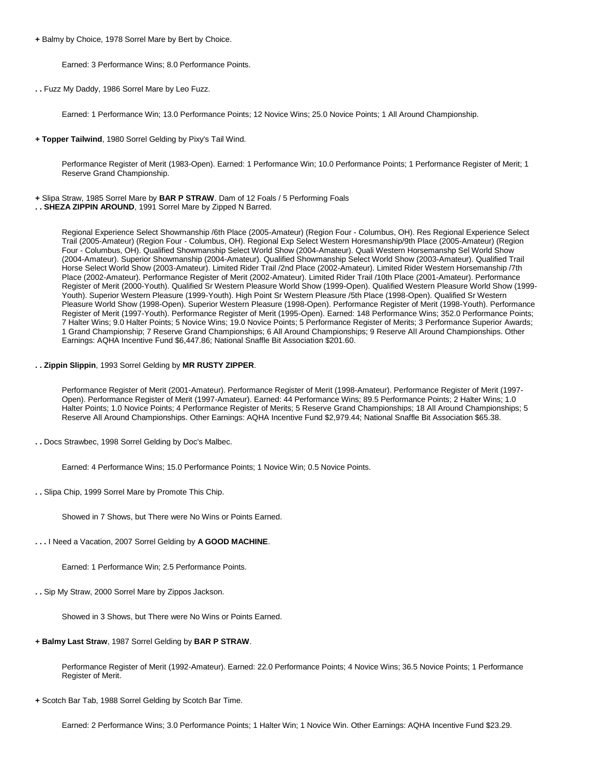**+** Balmy by Choice, 1978 Sorrel Mare by Bert by Choice.

Earned: 3 Performance Wins; 8.0 Performance Points.

**. .** Fuzz My Daddy, 1986 Sorrel Mare by Leo Fuzz.

Earned: 1 Performance Win; 13.0 Performance Points; 12 Novice Wins; 25.0 Novice Points; 1 All Around Championship.

**+ Topper Tailwind**, 1980 Sorrel Gelding by Pixy's Tail Wind.

Performance Register of Merit (1983-Open). Earned: 1 Performance Win; 10.0 Performance Points; 1 Performance Register of Merit; 1 Reserve Grand Championship.

- **+** Slipa Straw, 1985 Sorrel Mare by **BAR P STRAW**. Dam of 12 Foals / 5 Performing Foals
- **. . SHEZA ZIPPIN AROUND**, 1991 Sorrel Mare by Zipped N Barred.

Regional Experience Select Showmanship /6th Place (2005-Amateur) (Region Four - Columbus, OH). Res Regional Experience Select Trail (2005-Amateur) (Region Four - Columbus, OH). Regional Exp Select Western Horesmanship/9th Place (2005-Amateur) (Region Four - Columbus, OH). Qualified Showmanship Select World Show (2004-Amateur). Quali Western Horsemanshp Sel World Show (2004-Amateur). Superior Showmanship (2004-Amateur). Qualified Showmanship Select World Show (2003-Amateur). Qualified Trail Horse Select World Show (2003-Amateur). Limited Rider Trail /2nd Place (2002-Amateur). Limited Rider Western Horsemanship /7th Place (2002-Amateur). Performance Register of Merit (2002-Amateur). Limited Rider Trail /10th Place (2001-Amateur). Performance Register of Merit (2000-Youth). Qualified Sr Western Pleasure World Show (1999-Open). Qualified Western Pleasure World Show (1999- Youth). Superior Western Pleasure (1999-Youth). High Point Sr Western Pleasure /5th Place (1998-Open). Qualified Sr Western Pleasure World Show (1998-Open). Superior Western Pleasure (1998-Open). Performance Register of Merit (1998-Youth). Performance Register of Merit (1997-Youth). Performance Register of Merit (1995-Open). Earned: 148 Performance Wins; 352.0 Performance Points; 7 Halter Wins; 9.0 Halter Points; 5 Novice Wins; 19.0 Novice Points; 5 Performance Register of Merits; 3 Performance Superior Awards; 1 Grand Championship; 7 Reserve Grand Championships; 6 All Around Championships; 9 Reserve All Around Championships. Other Earnings: AQHA Incentive Fund \$6,447.86; National Snaffle Bit Association \$201.60.

**. . Zippin Slippin**, 1993 Sorrel Gelding by **MR RUSTY ZIPPER**.

Performance Register of Merit (2001-Amateur). Performance Register of Merit (1998-Amateur). Performance Register of Merit (1997- Open). Performance Register of Merit (1997-Amateur). Earned: 44 Performance Wins; 89.5 Performance Points; 2 Halter Wins; 1.0 Halter Points; 1.0 Novice Points; 4 Performance Register of Merits; 5 Reserve Grand Championships; 18 All Around Championships; 5 Reserve All Around Championships. Other Earnings: AQHA Incentive Fund \$2,979.44; National Snaffle Bit Association \$65.38.

**. .** Docs Strawbec, 1998 Sorrel Gelding by Doc's Malbec.

Earned: 4 Performance Wins; 15.0 Performance Points; 1 Novice Win; 0.5 Novice Points.

- **. .** Slipa Chip, 1999 Sorrel Mare by Promote This Chip.
	- Showed in 7 Shows, but There were No Wins or Points Earned.
- **. . .** I Need a Vacation, 2007 Sorrel Gelding by **A GOOD MACHINE**.

Earned: 1 Performance Win; 2.5 Performance Points.

**. .** Sip My Straw, 2000 Sorrel Mare by Zippos Jackson.

Showed in 3 Shows, but There were No Wins or Points Earned.

**+ Balmy Last Straw**, 1987 Sorrel Gelding by **BAR P STRAW**.

Performance Register of Merit (1992-Amateur). Earned: 22.0 Performance Points; 4 Novice Wins; 36.5 Novice Points; 1 Performance Register of Merit.

**+** Scotch Bar Tab, 1988 Sorrel Gelding by Scotch Bar Time.

Earned: 2 Performance Wins; 3.0 Performance Points; 1 Halter Win; 1 Novice Win. Other Earnings: AQHA Incentive Fund \$23.29.